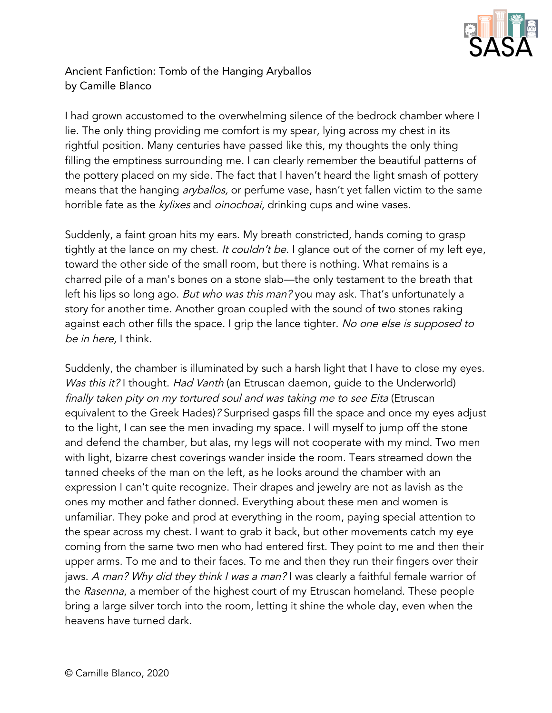

## Ancient Fanfiction: Tomb of the Hanging Aryballos by Camille Blanco

I had grown accustomed to the overwhelming silence of the bedrock chamber where I lie. The only thing providing me comfort is my spear, lying across my chest in its rightful position. Many centuries have passed like this, my thoughts the only thing filling the emptiness surrounding me. I can clearly remember the beautiful patterns of the pottery placed on my side. The fact that I haven't heard the light smash of pottery means that the hanging *aryballos*, or perfume vase, hasn't yet fallen victim to the same horrible fate as the kylixes and oinochoai, drinking cups and wine vases.

Suddenly, a faint groan hits my ears. My breath constricted, hands coming to grasp tightly at the lance on my chest. It couldn't be. I glance out of the corner of my left eye, toward the other side of the small room, but there is nothing. What remains is a charred pile of a man's bones on a stone slab—the only testament to the breath that left his lips so long ago. But who was this man? you may ask. That's unfortunately a story for another time. Another groan coupled with the sound of two stones raking against each other fills the space. I grip the lance tighter. No one else is supposed to be in here, I think.

Suddenly, the chamber is illuminated by such a harsh light that I have to close my eyes. Was this it? I thought. Had Vanth (an Etruscan daemon, guide to the Underworld) finally taken pity on my tortured soul and was taking me to see Eita (Etruscan equivalent to the Greek Hades)? Surprised gasps fill the space and once my eyes adjust to the light, I can see the men invading my space. I will myself to jump off the stone and defend the chamber, but alas, my legs will not cooperate with my mind. Two men with light, bizarre chest coverings wander inside the room. Tears streamed down the tanned cheeks of the man on the left, as he looks around the chamber with an expression I can't quite recognize. Their drapes and jewelry are not as lavish as the ones my mother and father donned. Everything about these men and women is unfamiliar. They poke and prod at everything in the room, paying special attention to the spear across my chest. I want to grab it back, but other movements catch my eye coming from the same two men who had entered first. They point to me and then their upper arms. To me and to their faces. To me and then they run their fingers over their jaws. A man? Why did they think I was a man? I was clearly a faithful female warrior of the Rasenna, a member of the highest court of my Etruscan homeland. These people bring a large silver torch into the room, letting it shine the whole day, even when the heavens have turned dark.